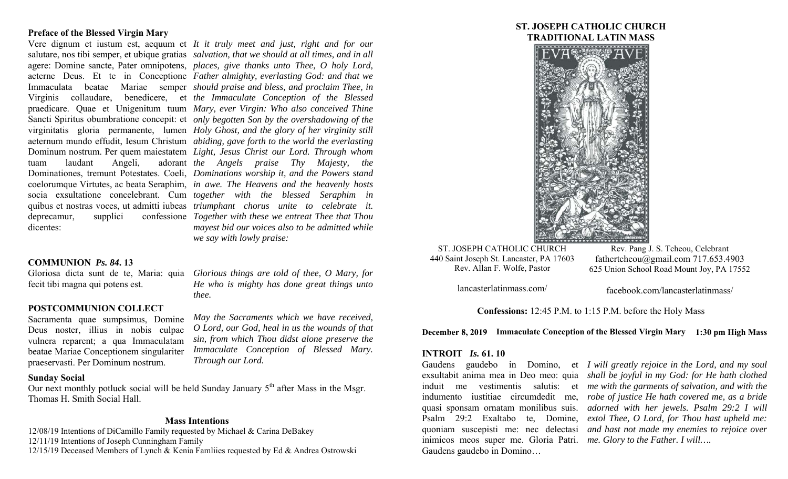## **Preface of the Blessed Virgin Mary**

deprecamur, supplici dicentes:

Vere dignum et iustum est, aequum et *It it truly meet and just, right and for our*  salutare, nos tibi semper, et ubique gratias *salvation, that we should at all times, and in all*  agere: Domine sancte, Pater omnipotens, *places, give thanks unto Thee, O holy Lord,*  aeterne Deus. Et te in Conceptione *Father almighty, everlasting God: and that we*  Immaculata beatae Mariae semper *should praise and bless, and proclaim Thee, in*  Virginis collaudare, benedicere, et *the Immaculate Conception of the Blessed*  praedicare. Quae et Unigenitum tuum *Mary, ever Virgin: Who also conceived Thine*  Sancti Spiritus obumbratione concepit: et *only begotten Son by the overshadowing of the*  virginitatis gloria permanente, lumen *Holy Ghost, and the glory of her virginity still*  aeternum mundo effudit, Iesum Christum *abiding, gave forth to the world the everlasting*  Dominum nostrum. Per quem maiestatem *Light, Jesus Christ our Lord. Through whom*  tuam laudant Angeli, adorant *the Angels praise Thy Majesty, the*  Dominationes, tremunt Potestates. Coeli, *Dominations worship it, and the Powers stand*  coelorumque Virtutes, ac beata Seraphim, *in awe. The Heavens and the heavenly hosts*  socia exsultatione concelebrant. Cum *together with the blessed Seraphim in*  quibus et nostras voces, ut admitti iubeas *triumphant chorus unite to celebrate it. Together with these we entreat Thee that Thou mayest bid our voices also to be admitted while we say with lowly praise:* 

*He who is mighty has done great things unto* 

*May the Sacraments which we have received, O Lord, our God, heal in us the wounds of that sin, from which Thou didst alone preserve the Immaculate Conception of Blessed Mary.* 

## **COMMUNION** *Ps. 84***. 13**

Gloriosa dicta sunt de te, Maria: quia *Glorious things are told of thee, O Mary, for* fecit tibi magna qui potens est.

## **POSTCOMMUNION COLLECT**

Sacramenta quae sumpsimus, Domine Deus noster, illius in nobis culpae vulnera reparent; a qua Immaculatam beatae Mariae Conceptionem singulariter praeservasti. Per Dominum nostrum.

## **Sunday Social**

Our next monthly potluck social will be held Sunday January  $5<sup>th</sup>$  after Mass in the Msgr. Thomas H. Smith Social Hall.

*thee.* 

*Through our Lord.* 

## **Mass Intentions**

12/08/19 Intentions of DiCamillo Family requested by Michael & Carina DeBakey 12/11/19 Intentions of Joseph Cunningham Family 12/15/19 Deceased Members of Lynch & Kenia Famliies requested by Ed & Andrea Ostrowski

# **ST. JOSEPH CATHOLIC CHURCH TRADITIONAL LATIN MASS**



ST. JOSEPH CATHOLIC CHURCH 440 Saint Joseph St. Lancaster, PA 17603 Rev. Allan F. Wolfe, Pastor

Rev. Pang J. S. Tcheou, Celebrant fathertcheou@gmail.com 717.653.4903 625 Union School Road Mount Joy, PA 17552

lancasterlatinmass.com/

facebook.com/lancasterlatinmass/

**Confessions:** 12:45 P.M. to 1:15 P.M. before the Holy Mass

**December 8, 2019 Immaculate Conception of the Blessed Virgin Mary 1:30 pm High Mass** 

#### **INTROIT** *Is.* **61. 10**

inimicos meos super me. Gloria Patri. *me. Glory to the Father. I will….*  Gaudens gaudebo in Domino…

Gaudens gaudebo in Domino, et *I will greatly rejoice in the Lord, and my soul*  exsultabit anima mea in Deo meo: quia *shall be joyful in my God: for He hath clothed*  induit me vestimentis salutis: et *me with the garments of salvation, and with the*  indumento iustitiae circumdedit me, *robe of justice He hath covered me, as a bride*  quasi sponsam ornatam monilibus suis. *adorned with her jewels. Psalm 29:2 I will*  Psalm 29:2 Exaltabo te, Domine, *extol Thee, O Lord, for Thou hast upheld me:*  quoniam suscepisti me: nec delectasi *and hast not made my enemies to rejoice over*